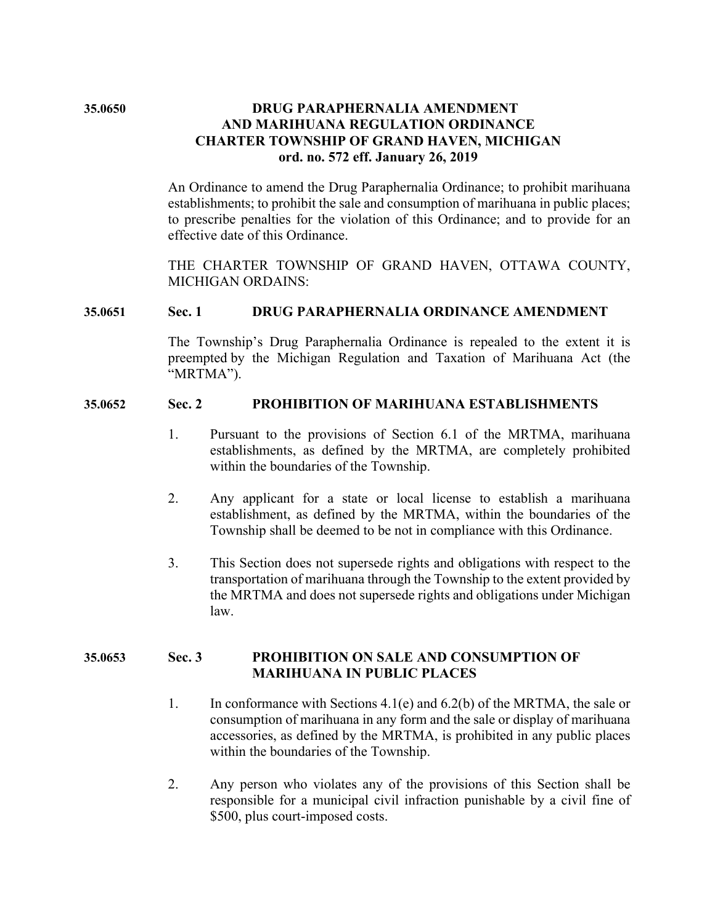# **35.0650 DRUG PARAPHERNALIA AMENDMENT AND MARIHUANA REGULATION ORDINANCE CHARTER TOWNSHIP OF GRAND HAVEN, MICHIGAN ord. no. 572 eff. January 26, 2019**

An Ordinance to amend the Drug Paraphernalia Ordinance; to prohibit marihuana establishments; to prohibit the sale and consumption of marihuana in public places; to prescribe penalties for the violation of this Ordinance; and to provide for an effective date of this Ordinance.

THE CHARTER TOWNSHIP OF GRAND HAVEN, OTTAWA COUNTY, MICHIGAN ORDAINS:

#### **35.0651 Sec. 1 DRUG PARAPHERNALIA ORDINANCE AMENDMENT**

The Township's Drug Paraphernalia Ordinance is repealed to the extent it is preempted by the Michigan Regulation and Taxation of Marihuana Act (the "MRTMA").

## **35.0652 Sec. 2 PROHIBITION OF MARIHUANA ESTABLISHMENTS**

- 1. Pursuant to the provisions of Section 6.1 of the MRTMA, marihuana establishments, as defined by the MRTMA, are completely prohibited within the boundaries of the Township.
- 2. Any applicant for a state or local license to establish a marihuana establishment, as defined by the MRTMA, within the boundaries of the Township shall be deemed to be not in compliance with this Ordinance.
- 3. This Section does not supersede rights and obligations with respect to the transportation of marihuana through the Township to the extent provided by the MRTMA and does not supersede rights and obligations under Michigan law.

# **35.0653 Sec. 3 PROHIBITION ON SALE AND CONSUMPTION OF MARIHUANA IN PUBLIC PLACES**

- 1. In conformance with Sections 4.1(e) and 6.2(b) of the MRTMA, the sale or consumption of marihuana in any form and the sale or display of marihuana accessories, as defined by the MRTMA, is prohibited in any public places within the boundaries of the Township.
- 2. Any person who violates any of the provisions of this Section shall be responsible for a municipal civil infraction punishable by a civil fine of \$500, plus court-imposed costs.